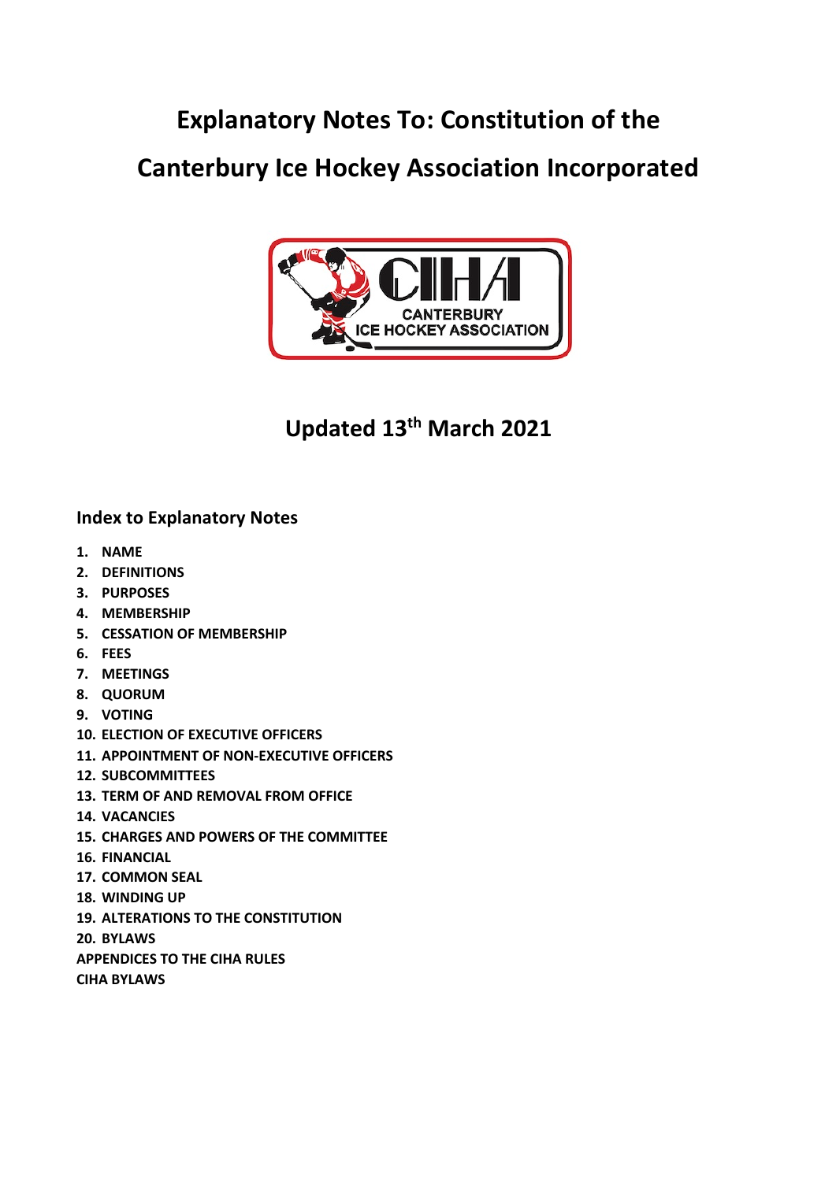# **Explanatory Notes To: Constitution of the**

# **Canterbury Ice Hockey Association Incorporated**



# **Updated 13th March 2021**

# **Index to Explanatory Notes**

- **1. NAME**
- **2. DEFINITIONS**
- **3. PURPOSES**
- **4. MEMBERSHIP**
- **5. CESSATION OF MEMBERSHIP**
- **6. FEES**
- **7. MEETINGS**
- **8. QUORUM**
- **9. VOTING**
- **10. ELECTION OF EXECUTIVE OFFICERS**
- **11. APPOINTMENT OF NON-EXECUTIVE OFFICERS**
- **12. SUBCOMMITTEES**
- **13. TERM OF AND REMOVAL FROM OFFICE**
- **14. VACANCIES**
- **15. CHARGES AND POWERS OF THE COMMITTEE**
- **16. FINANCIAL**
- **17. COMMON SEAL**
- **18. WINDING UP**
- **19. ALTERATIONS TO THE CONSTITUTION**
- **20. BYLAWS**
- **APPENDICES TO THE CIHA RULES**

**CIHA BYLAWS**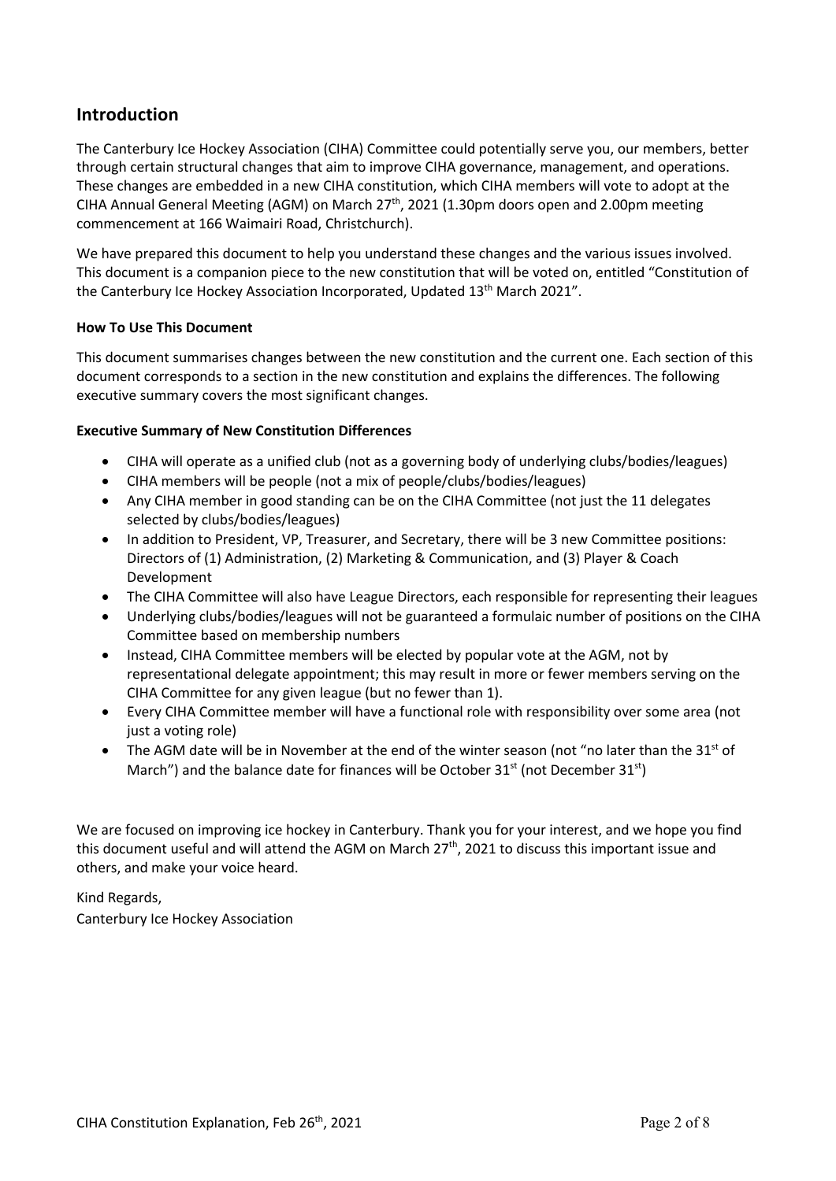# **Introduction**

The Canterbury Ice Hockey Association (CIHA) Committee could potentially serve you, our members, better through certain structural changes that aim to improve CIHA governance, management, and operations. These changes are embedded in a new CIHA constitution, which CIHA members will vote to adopt at the CIHA Annual General Meeting (AGM) on March 27th, 2021 (1.30pm doors open and 2.00pm meeting commencement at 166 Waimairi Road, Christchurch).

We have prepared this document to help you understand these changes and the various issues involved. This document is a companion piece to the new constitution that will be voted on, entitled "Constitution of the Canterbury Ice Hockey Association Incorporated, Updated 13<sup>th</sup> March 2021".

# **How To Use This Document**

This document summarises changes between the new constitution and the current one. Each section of this document corresponds to a section in the new constitution and explains the differences. The following executive summary covers the most significant changes.

# **Executive Summary of New Constitution Differences**

- CIHA will operate as a unified club (not as a governing body of underlying clubs/bodies/leagues)
- CIHA members will be people (not a mix of people/clubs/bodies/leagues)
- Any CIHA member in good standing can be on the CIHA Committee (not just the 11 delegates selected by clubs/bodies/leagues)
- In addition to President, VP, Treasurer, and Secretary, there will be 3 new Committee positions: Directors of (1) Administration, (2) Marketing & Communication, and (3) Player & Coach Development
- The CIHA Committee will also have League Directors, each responsible for representing their leagues
- Underlying clubs/bodies/leagues will not be guaranteed a formulaic number of positions on the CIHA Committee based on membership numbers
- Instead, CIHA Committee members will be elected by popular vote at the AGM, not by representational delegate appointment; this may result in more or fewer members serving on the CIHA Committee for any given league (but no fewer than 1).
- Every CIHA Committee member will have a functional role with responsibility over some area (not just a voting role)
- The AGM date will be in November at the end of the winter season (not "no later than the  $31<sup>st</sup>$  of March") and the balance date for finances will be October 31<sup>st</sup> (not December 31<sup>st</sup>)

We are focused on improving ice hockey in Canterbury. Thank you for your interest, and we hope you find this document useful and will attend the AGM on March 27<sup>th</sup>, 2021 to discuss this important issue and others, and make your voice heard.

# Kind Regards,

Canterbury Ice Hockey Association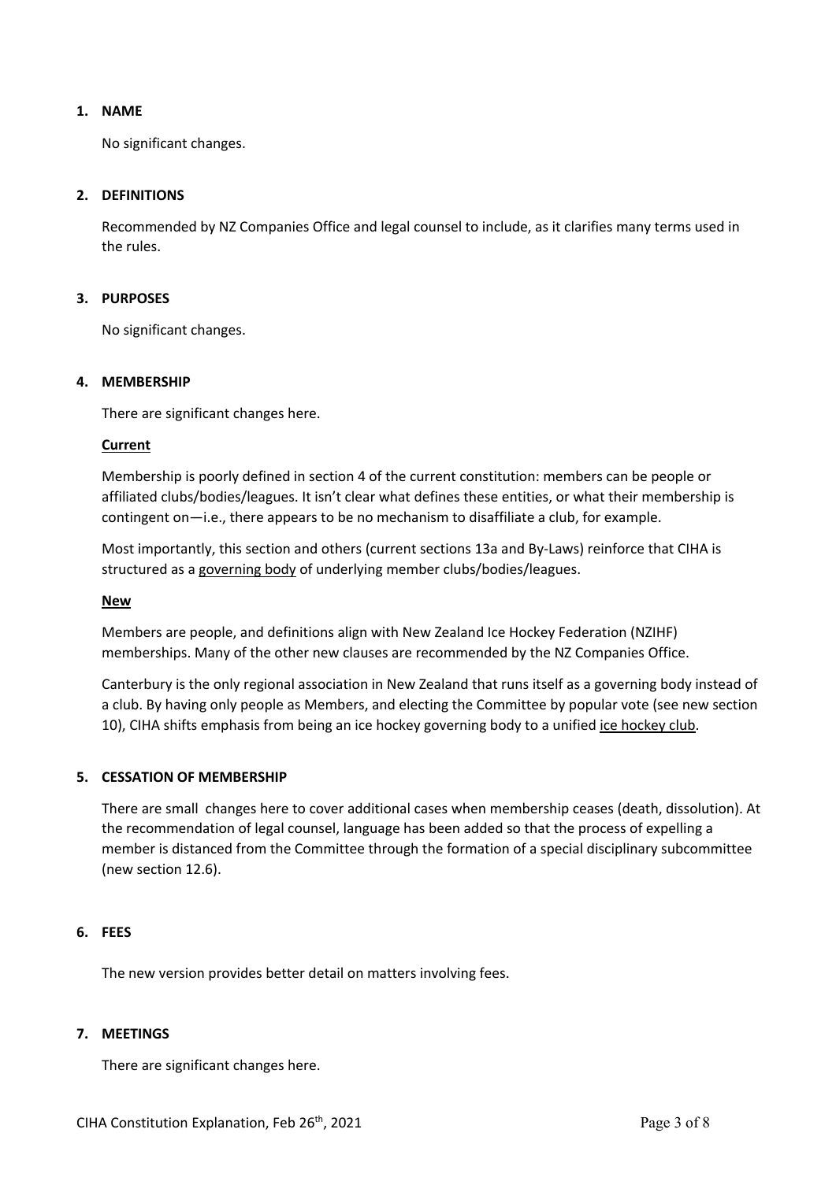# **1. NAME**

No significant changes.

# **2. DEFINITIONS**

Recommended by NZ Companies Office and legal counsel to include, as it clarifies many terms used in the rules.

# **3. PURPOSES**

No significant changes.

# **4. MEMBERSHIP**

There are significant changes here.

## **Current**

Membership is poorly defined in section 4 of the current constitution: members can be people or affiliated clubs/bodies/leagues. It isn't clear what defines these entities, or what their membership is contingent on—i.e., there appears to be no mechanism to disaffiliate a club, for example.

Most importantly, this section and others (current sections 13a and By-Laws) reinforce that CIHA is structured as a governing body of underlying member clubs/bodies/leagues.

## **New**

Members are people, and definitions align with New Zealand Ice Hockey Federation (NZIHF) memberships. Many of the other new clauses are recommended by the NZ Companies Office.

Canterbury is the only regional association in New Zealand that runs itself as a governing body instead of a club. By having only people as Members, and electing the Committee by popular vote (see new section 10), CIHA shifts emphasis from being an ice hockey governing body to a unified ice hockey club.

## **5. CESSATION OF MEMBERSHIP**

There are small changes here to cover additional cases when membership ceases (death, dissolution). At the recommendation of legal counsel, language has been added so that the process of expelling a member is distanced from the Committee through the formation of a special disciplinary subcommittee (new section 12.6).

## **6. FEES**

The new version provides better detail on matters involving fees.

## **7. MEETINGS**

There are significant changes here.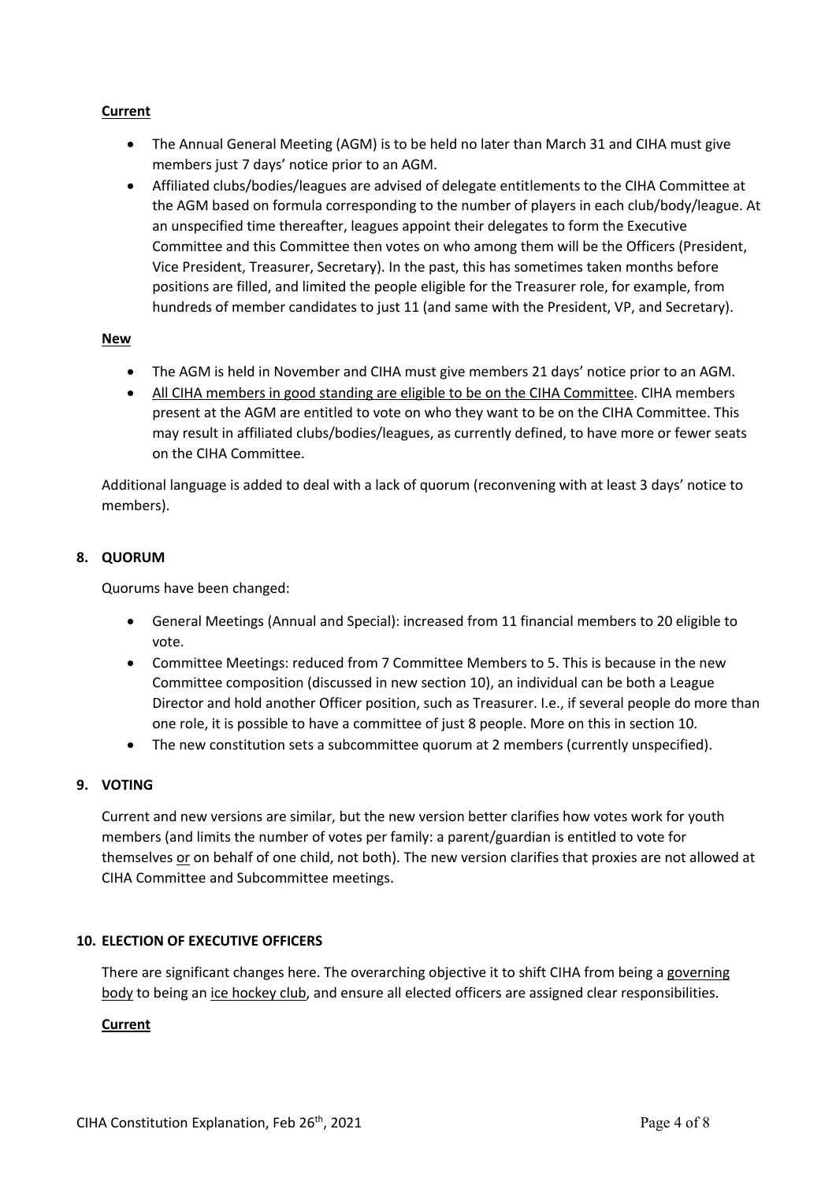# **Current**

- The Annual General Meeting (AGM) is to be held no later than March 31 and CIHA must give members just 7 days' notice prior to an AGM.
- Affiliated clubs/bodies/leagues are advised of delegate entitlements to the CIHA Committee at the AGM based on formula corresponding to the number of players in each club/body/league. At an unspecified time thereafter, leagues appoint their delegates to form the Executive Committee and this Committee then votes on who among them will be the Officers (President, Vice President, Treasurer, Secretary). In the past, this has sometimes taken months before positions are filled, and limited the people eligible for the Treasurer role, for example, from hundreds of member candidates to just 11 (and same with the President, VP, and Secretary).

## **New**

- The AGM is held in November and CIHA must give members 21 days' notice prior to an AGM.
- All CIHA members in good standing are eligible to be on the CIHA Committee. CIHA members present at the AGM are entitled to vote on who they want to be on the CIHA Committee. This may result in affiliated clubs/bodies/leagues, as currently defined, to have more or fewer seats on the CIHA Committee.

Additional language is added to deal with a lack of quorum (reconvening with at least 3 days' notice to members).

# **8. QUORUM**

Quorums have been changed:

- General Meetings (Annual and Special): increased from 11 financial members to 20 eligible to vote.
- Committee Meetings: reduced from 7 Committee Members to 5. This is because in the new Committee composition (discussed in new section 10), an individual can be both a League Director and hold another Officer position, such as Treasurer. I.e., if several people do more than one role, it is possible to have a committee of just 8 people. More on this in section 10.
- The new constitution sets a subcommittee quorum at 2 members (currently unspecified).

# **9. VOTING**

Current and new versions are similar, but the new version better clarifies how votes work for youth members (and limits the number of votes per family: a parent/guardian is entitled to vote for themselves or on behalf of one child, not both). The new version clarifies that proxies are not allowed at CIHA Committee and Subcommittee meetings.

## **10. ELECTION OF EXECUTIVE OFFICERS**

There are significant changes here. The overarching objective it to shift CIHA from being a governing body to being an ice hockey club, and ensure all elected officers are assigned clear responsibilities.

# **Current**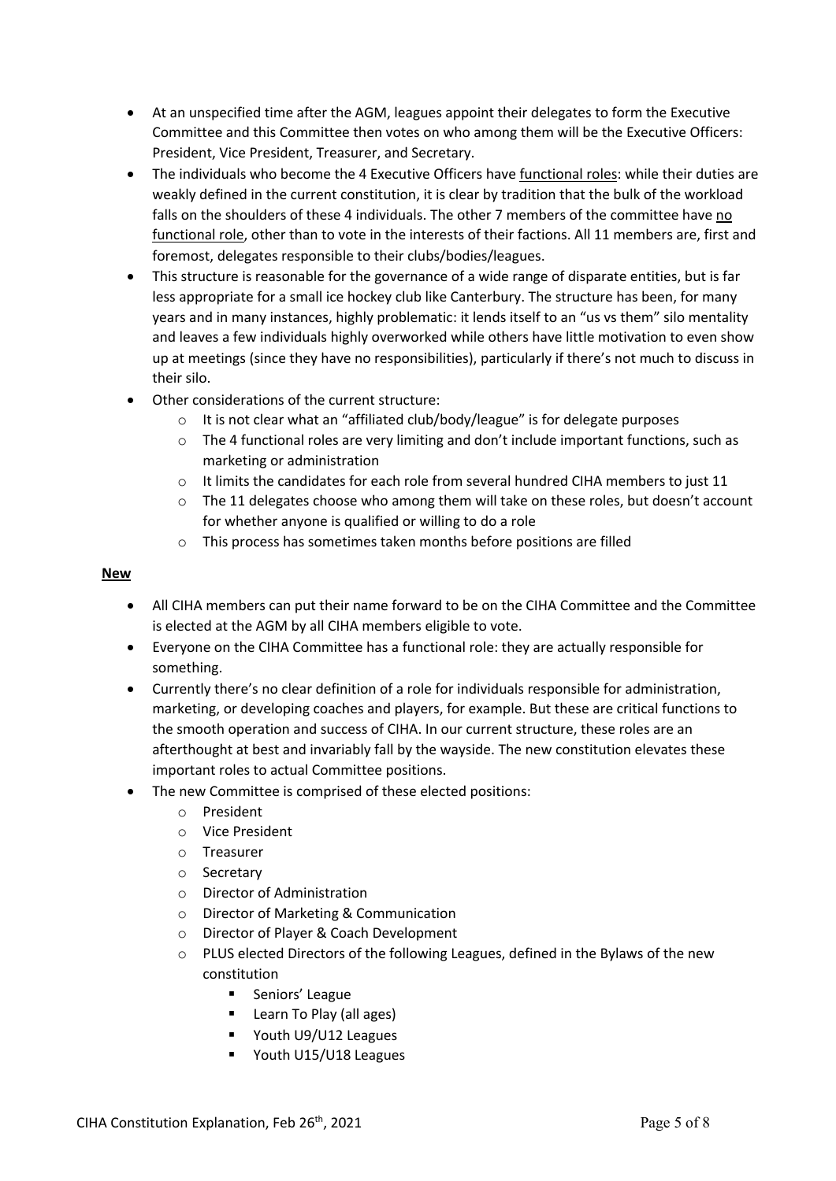- At an unspecified time after the AGM, leagues appoint their delegates to form the Executive Committee and this Committee then votes on who among them will be the Executive Officers: President, Vice President, Treasurer, and Secretary.
- The individuals who become the 4 Executive Officers have functional roles: while their duties are weakly defined in the current constitution, it is clear by tradition that the bulk of the workload falls on the shoulders of these 4 individuals. The other 7 members of the committee have no functional role, other than to vote in the interests of their factions. All 11 members are, first and foremost, delegates responsible to their clubs/bodies/leagues.
- This structure is reasonable for the governance of a wide range of disparate entities, but is far less appropriate for a small ice hockey club like Canterbury. The structure has been, for many years and in many instances, highly problematic: it lends itself to an "us vs them" silo mentality and leaves a few individuals highly overworked while others have little motivation to even show up at meetings (since they have no responsibilities), particularly if there's not much to discuss in their silo.
- Other considerations of the current structure:
	- o It is not clear what an "affiliated club/body/league" is for delegate purposes
	- $\circ$  The 4 functional roles are very limiting and don't include important functions, such as marketing or administration
	- $\circ$  It limits the candidates for each role from several hundred CIHA members to just 11
	- o The 11 delegates choose who among them will take on these roles, but doesn't account for whether anyone is qualified or willing to do a role
	- o This process has sometimes taken months before positions are filled

#### **New**

- All CIHA members can put their name forward to be on the CIHA Committee and the Committee is elected at the AGM by all CIHA members eligible to vote.
- Everyone on the CIHA Committee has a functional role: they are actually responsible for something.
- Currently there's no clear definition of a role for individuals responsible for administration, marketing, or developing coaches and players, for example. But these are critical functions to the smooth operation and success of CIHA. In our current structure, these roles are an afterthought at best and invariably fall by the wayside. The new constitution elevates these important roles to actual Committee positions.
- The new Committee is comprised of these elected positions:
	- o President
	- o Vice President
	- o Treasurer
	- o Secretary
	- o Director of Administration
	- o Director of Marketing & Communication
	- o Director of Player & Coach Development
	- $\circ$  PLUS elected Directors of the following Leagues, defined in the Bylaws of the new constitution
		- Seniors' League
		- Learn To Play (all ages)
		- § Youth U9/U12 Leagues
		- § Youth U15/U18 Leagues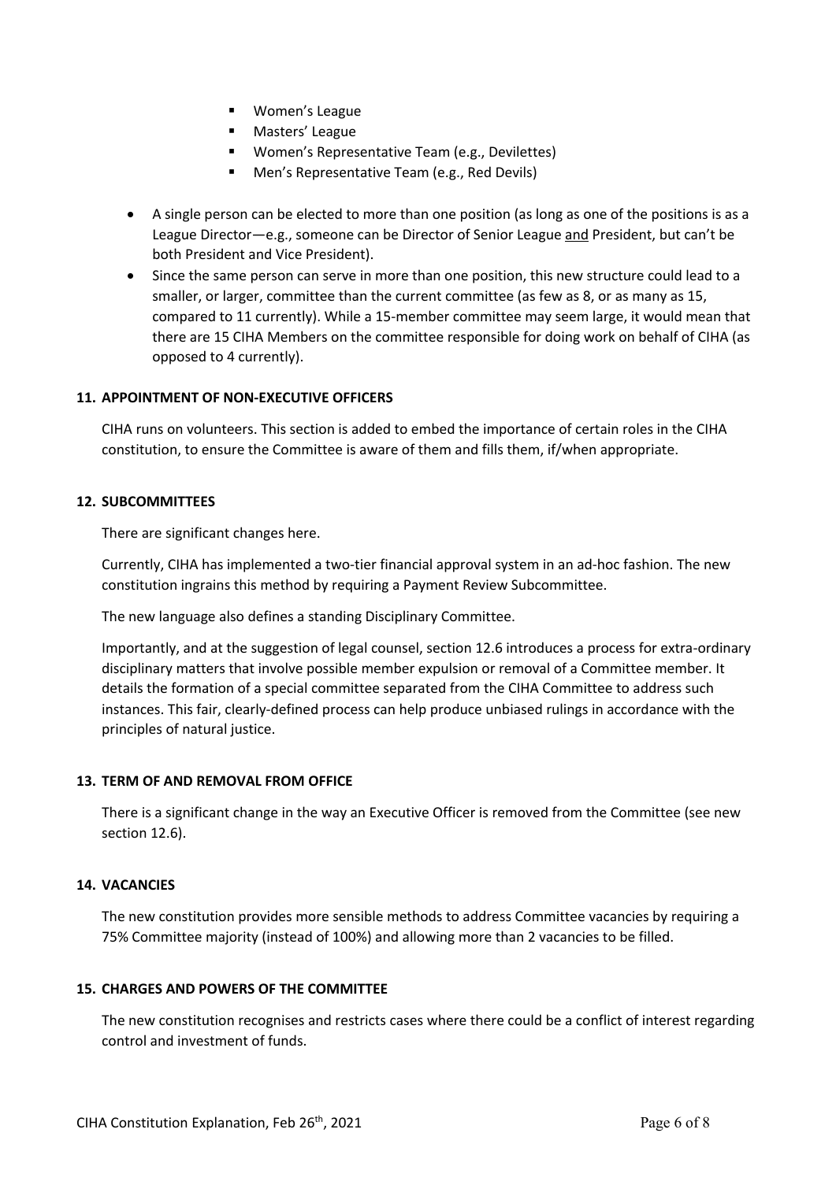- Women's League
- Masters' League
- Women's Representative Team (e.g., Devilettes)
- § Men's Representative Team (e.g., Red Devils)
- A single person can be elected to more than one position (as long as one of the positions is as a League Director—e.g., someone can be Director of Senior League and President, but can't be both President and Vice President).
- Since the same person can serve in more than one position, this new structure could lead to a smaller, or larger, committee than the current committee (as few as 8, or as many as 15, compared to 11 currently). While a 15-member committee may seem large, it would mean that there are 15 CIHA Members on the committee responsible for doing work on behalf of CIHA (as opposed to 4 currently).

# **11. APPOINTMENT OF NON-EXECUTIVE OFFICERS**

CIHA runs on volunteers. This section is added to embed the importance of certain roles in the CIHA constitution, to ensure the Committee is aware of them and fills them, if/when appropriate.

## **12. SUBCOMMITTEES**

There are significant changes here.

Currently, CIHA has implemented a two-tier financial approval system in an ad-hoc fashion. The new constitution ingrains this method by requiring a Payment Review Subcommittee.

The new language also defines a standing Disciplinary Committee.

Importantly, and at the suggestion of legal counsel, section 12.6 introduces a process for extra-ordinary disciplinary matters that involve possible member expulsion or removal of a Committee member. It details the formation of a special committee separated from the CIHA Committee to address such instances. This fair, clearly-defined process can help produce unbiased rulings in accordance with the principles of natural justice.

## **13. TERM OF AND REMOVAL FROM OFFICE**

There is a significant change in the way an Executive Officer is removed from the Committee (see new section 12.6).

## **14. VACANCIES**

The new constitution provides more sensible methods to address Committee vacancies by requiring a 75% Committee majority (instead of 100%) and allowing more than 2 vacancies to be filled.

## **15. CHARGES AND POWERS OF THE COMMITTEE**

The new constitution recognises and restricts cases where there could be a conflict of interest regarding control and investment of funds.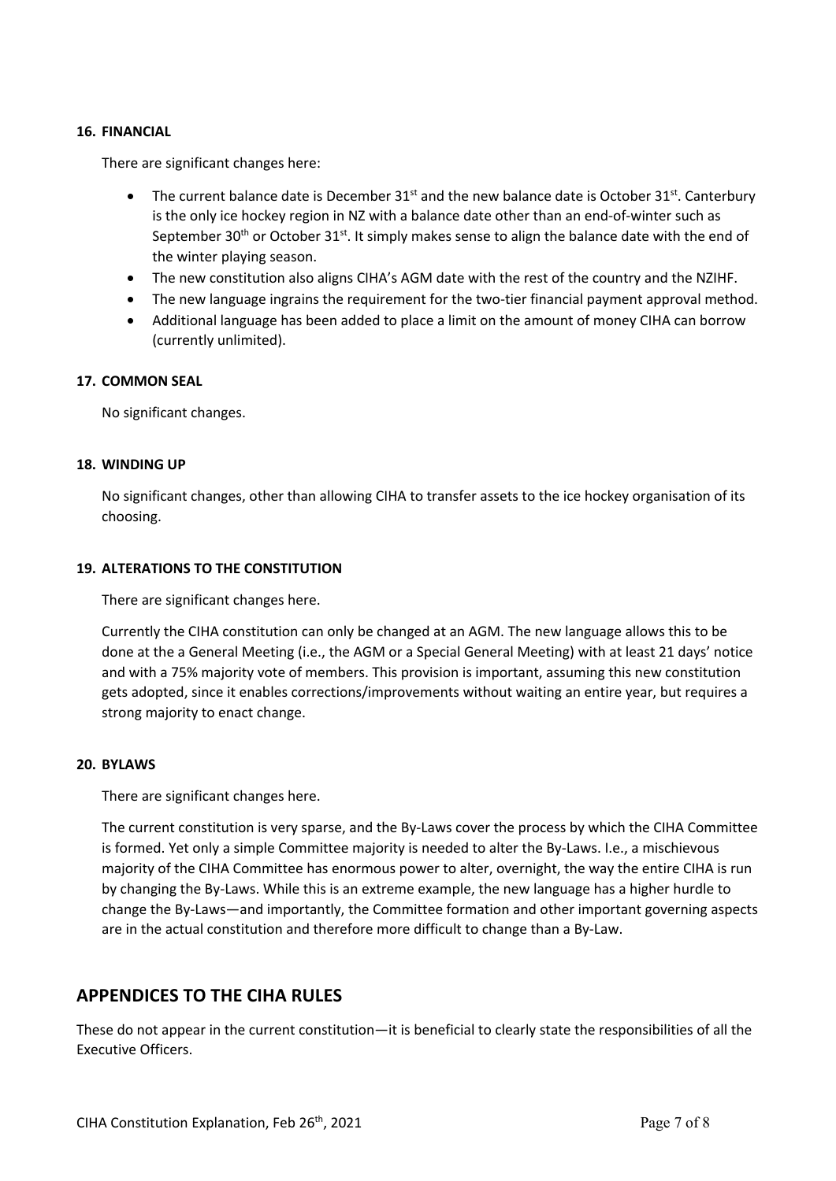## **16. FINANCIAL**

There are significant changes here:

- The current balance date is December  $31<sup>st</sup>$  and the new balance date is October  $31<sup>st</sup>$ . Canterbury is the only ice hockey region in NZ with a balance date other than an end-of-winter such as September 30<sup>th</sup> or October 31<sup>st</sup>. It simply makes sense to align the balance date with the end of the winter playing season.
- The new constitution also aligns CIHA's AGM date with the rest of the country and the NZIHF.
- The new language ingrains the requirement for the two-tier financial payment approval method.
- Additional language has been added to place a limit on the amount of money CIHA can borrow (currently unlimited).

## **17. COMMON SEAL**

No significant changes.

## **18. WINDING UP**

No significant changes, other than allowing CIHA to transfer assets to the ice hockey organisation of its choosing.

# **19. ALTERATIONS TO THE CONSTITUTION**

There are significant changes here.

Currently the CIHA constitution can only be changed at an AGM. The new language allows this to be done at the a General Meeting (i.e., the AGM or a Special General Meeting) with at least 21 days' notice and with a 75% majority vote of members. This provision is important, assuming this new constitution gets adopted, since it enables corrections/improvements without waiting an entire year, but requires a strong majority to enact change.

## **20. BYLAWS**

There are significant changes here.

The current constitution is very sparse, and the By-Laws cover the process by which the CIHA Committee is formed. Yet only a simple Committee majority is needed to alter the By-Laws. I.e., a mischievous majority of the CIHA Committee has enormous power to alter, overnight, the way the entire CIHA is run by changing the By-Laws. While this is an extreme example, the new language has a higher hurdle to change the By-Laws—and importantly, the Committee formation and other important governing aspects are in the actual constitution and therefore more difficult to change than a By-Law.

# **APPENDICES TO THE CIHA RULES**

These do not appear in the current constitution—it is beneficial to clearly state the responsibilities of all the Executive Officers.